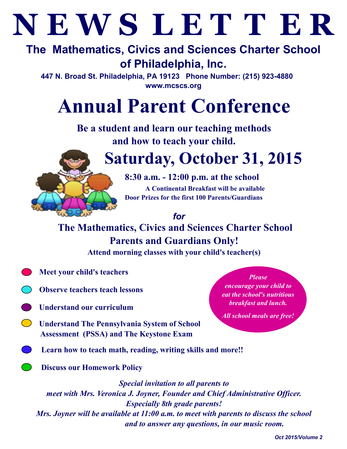# **N E W S L E T T E R**

# **The Mathematics, Civics and Sciences Charter School of Philadelphia, Inc.**

**447 N. Broad St. Philadelphia, PA 19123 Phone Number: (215) 923-4880 www.mcscs.org**

# **Annual Parent Conference**

**Be a student and learn our teaching methods and how to teach your child.**



# **Saturday, October 31, 2015**

**8:30 a.m. - 12:00 p.m. at the school A Continental Breakfast will be available Door Prizes for the first 100 Parents/Guardians**

*for*

**The Mathematics, Civics and Sciences Charter School Parents and Guardians Only!**

**Attend morning classes with your child's teacher(s)**

- **Meet your child's teachers**
- **Observe teachers teach lessons**
- **Understand our curriculum**
- **Understand The Pennsylvania System of School Assessment (PSSA) and The Keystone Exam**
- **Learn how to teach math, reading, writing skills and more!!**
	- **Discuss our Homework Policy**

*Special invitation to all parents to meet with Mrs. Veronica J. Joyner, Founder and Chief Administrative Officer. Especially 8th grade parents! Mrs. Joyner will be available at 11:00 a.m. to meet with parents to discuss the school and to answer any questions, in our music room.*

*Please* 

*encourage your child to eat the school's nutritious breakfast and lunch.* 

*All school meals are free!*

*Oct 2015/Volume 2*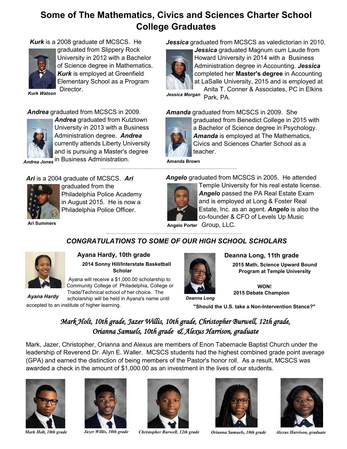### **Some of The Mathematics, Civics and Sciences Charter School College Graduates**

*Kurk* is a 2008 graduate of MCSCS. He



graduated from Slippery Rock University in 2012 with a Bachelor of Science degree in Mathematics. *Kurk* is employed at Greenfield Elementary School as a Program Director.

*Kurk Watson*

*Andrea* graduated from MCSCS in 2009.



*Andrea* graduated from Kutztown University in 2013 with a Business Administration degree. *Andrea* currently attends Liberty University and is pursuing a Master's degree

*Andrea Jones* in Business Administration.

*Ari* is a 2004 graduate of MCSCS. *Ari*



graduated from the Philadelphia Police Academy in August 2015. He is now a Philadelphia Police Officer.

**Ari Summers**

*Jessica* graduated from MCSCS as valedictorian in 2010.



*Jessica* graduated Magnum cum Laude from Howard University in 2014 with a Business Administration degree in Accounting. *Jessica* completed her **Master's degree** in Accounting at LaSalle University, 2015 and is employed at

Anita T. Conner & Associates, PC in Elkins Jessica Morgan Park, PA.

*Amanda* graduated from MCSCS in 2009. She



graduated from Benedict College in 2015 with a Bachelor of Science degree in Psychology. *Amanda* is employed at The Mathematics, Civics and Sciences Charter School as a teacher.

**Amanda Brown**

*Angelo* graduated from MCSCS in 2005. He attended



Temple University for his real estate license. *Angelo* passed the PA Real Estate Exam and is employed at Long & Foster Real Estate, Inc. as an agent. *Angelo* is also the co-founder & CFO of Levels Up Music

**Angelo Porter** Group, LLC.

#### *CONGRATULATIONS TO SOME OF OUR HIGH SCHOOL SCHOLARS*



 **Ayana Hardy, 10th grade**

 **2014 Sonny Hill/Interstate Basketball Scholar**

Ayana will receive a \$1,000.00 scholarship to Community College of Philadelphia, College or Trade/Technical school of her choice. The

scholarship will be held in Ayana's name until accepted to an institute of higher learning. *Ayana Hardy*



 **Deanna Long, 11th grade**

 **2015 Math, Science Upward Bound Program at Temple University**

*Deanna Long*

**WON! 2015 Debate Champion**

**"Should the U.S. take a Non-Intervention Stance?"**

#### *Mark Holt, 10th grade, Jazer Willis, 10th grade, Christopher Burwell, 12th grade, Orianna Samuels, 10th grade & Alexus Harrison, graduate*

Mark, Jazer, Christopher, Orianna and Alexus are members of Enon Tabernacle Baptist Church under the leadership of Reverend Dr. Alyn E. Waller. MCSCS students had the highest combined grade point average (GPA) and earned the distinction of being members of the Pastor's honor roll. As a result, MCSCS was awarded a check in the amount of \$1,000.00 as an investment in the lives of our students.







*Mark Holt, 10th grade Jazer Willis, 10th grade Christopher Burwell, 12th grade Orianna Samuels, 10th grade Alexus Harrison, graduate*



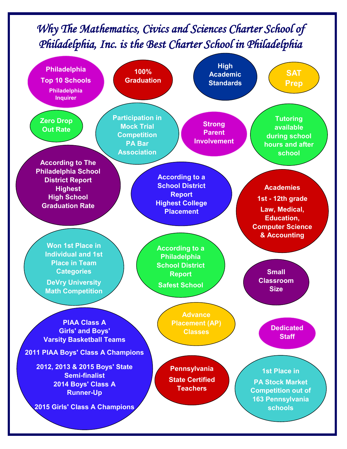